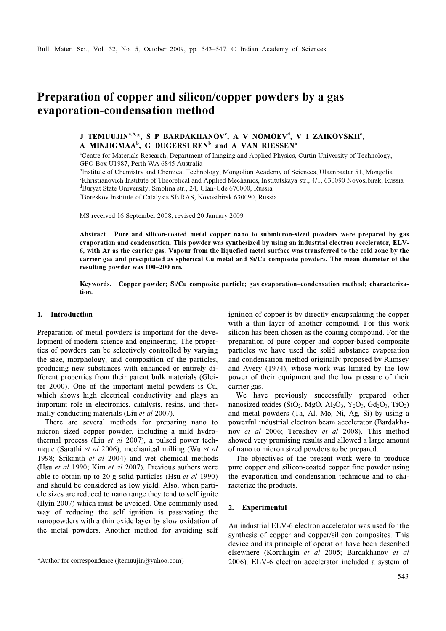# Preparation of copper and silicon/copper powders by a gas evaporation-condensation method

# J TEMUUJIN<sup>a,b,</sup>\*, S P BARDAKHANOV<sup>c</sup>, A V NOMOEV<sup>d</sup>, V I ZAIKOVSKII<sup>e</sup>, A MINJIGMAA<sup>b</sup>, G DUGERSUREN<sup>b</sup> and A VAN RIESSEN<sup>a</sup>

<sup>a</sup>Centre for Materials Research, Department of Imaging and Applied Physics, Curtin University of Technology, GPO Box U1987, Perth WA 6845 Australia

<sup>b</sup>Institute of Chemistry and Chemical Technology, Mongolian Academy of Sciences, Ulaanbaatar 51, Mongolia chemistry and Chemical Technology, Mongolian Academy of Sciences, Ulaanbaatar 51, Mongolia <sup>c</sup>Khristianovich Institute of Theoretical and Applied Mechanics, Institutskaya str., 4/1, 630090 Novosibirsk, Russia Buryat State University, Smolina str., 24, Ulan-Ude 670000, Russia

e Boreskov Institute of Catalysis SB RAS, Novosibirsk 630090, Russia

MS received 16 September 2008; revised 20 January 2009

Abstract. Pure and silicon-coated metal copper nano to submicron-sized powders were prepared by gas evaporation and condensation. This powder was synthesized by using an industrial electron accelerator, ELV-6, with Ar as the carrier gas. Vapour from the liquefied metal surface was transferred to the cold zone by the carrier gas and precipitated as spherical Cu metal and Si/Cu composite powders. The mean diameter of the resulting powder was 100–200 nm.

Keywords. Copper powder; Si/Cu composite particle; gas evaporation–condensation method; characterization.

# 1. Introduction

Preparation of metal powders is important for the development of modern science and engineering. The properties of powders can be selectively controlled by varying the size, morphology, and composition of the particles, producing new substances with enhanced or entirely different properties from their parent bulk materials (Gleiter 2000). One of the important metal powders is Cu, which shows high electrical conductivity and plays an important role in electronics, catalysts, resins, and thermally conducting materials (Liu et al 2007).

 There are several methods for preparing nano to micron sized copper powder, including a mild hydrothermal process (Liu et al 2007), a pulsed power technique (Sarathi et al 2006), mechanical milling (Wu et al 1998; Srikanth et al 2004) and wet chemical methods (Hsu et al 1990; Kim et al 2007). Previous authors were able to obtain up to 20 g solid particles (Hsu et al 1990) and should be considered as low yield. Also, when particle sizes are reduced to nano range they tend to self ignite (Ilyin 2007) which must be avoided. One commonly used way of reducing the self ignition is passivating the nanopowders with a thin oxide layer by slow oxidation of the metal powders. Another method for avoiding self

ignition of copper is by directly encapsulating the copper with a thin layer of another compound. For this work silicon has been chosen as the coating compound. For the preparation of pure copper and copper-based composite particles we have used the solid substance evaporation and condensation method originally proposed by Ramsey and Avery (1974), whose work was limited by the low power of their equipment and the low pressure of their carrier gas.

 We have previously successfully prepared other nanosized oxides (SiO<sub>2</sub>, MgO, Al<sub>2</sub>O<sub>3</sub>, Y<sub>2</sub>O<sub>3</sub>, Gd<sub>2</sub>O<sub>3</sub>, TiO<sub>2</sub>) and metal powders (Ta, Al, Mo, Ni, Ag, Si) by using a powerful industrial electron beam accelerator (Bardakhanov et al 2006; Terekhov et al 2008). This method showed very promising results and allowed a large amount of nano to micron sized powders to be prepared.

 The objectives of the present work were to produce pure copper and silicon-coated copper fine powder using the evaporation and condensation technique and to characterize the products.

#### 2. Experimental

An industrial ELV-6 electron accelerator was used for the synthesis of copper and copper/silicon composites. This device and its principle of operation have been described elsewhere (Korchagin et al 2005; Bardakhanov et al \*Author for correspondence (jtemuujin@yahoo.com) 2006). ELV-6 electron accelerator included a system of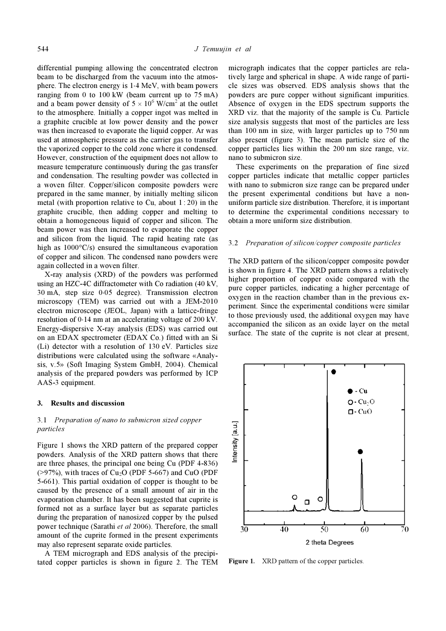differential pumping allowing the concentrated electron beam to be discharged from the vacuum into the atmosphere. The electron energy is 1⋅4 MeV, with beam powers ranging from 0 to 100 kW (beam current up to 75 mA) and a beam power density of  $5 \times 10^6$  W/cm<sup>2</sup> at the outlet to the atmosphere. Initially a copper ingot was melted in a graphite crucible at low power density and the power was then increased to evaporate the liquid copper. Ar was used at atmospheric pressure as the carrier gas to transfer the vaporized copper to the cold zone where it condensed. However, construction of the equipment does not allow to measure temperature continuously during the gas transfer and condensation. The resulting powder was collected in a woven filter. Copper/silicon composite powders were prepared in the same manner, by initially melting silicon metal (with proportion relative to Cu, about 1 : 20) in the graphite crucible, then adding copper and melting to obtain a homogeneous liquid of copper and silicon. The beam power was then increased to evaporate the copper and silicon from the liquid. The rapid heating rate (as high as  $1000^{\circ}$ C/s) ensured the simultaneous evaporation of copper and silicon. The condensed nano powders were again collected in a woven filter.

 X-ray analysis (XRD) of the powders was performed using an HZC-4C diffractometer with Co radiation (40 kV, 30 mA, step size 0⋅05 degree). Transmission electron microscopy (TEM) was carried out with a JEM-2010 electron microscope (JEOL, Japan) with a lattice-fringe resolution of 0⋅14 nm at an accelerating voltage of 200 kV. Energy-dispersive X-ray analysis (EDS) was carried out on an EDAX spectrometer (EDAX Co.) fitted with an Si (Li) detector with a resolution of 130 eV. Particles size distributions were calculated using the software «Analysis, v.5» (Soft Imaging System GmbH, 2004). Chemical analysis of the prepared powders was performed by ICP AAS-3 equipment.

#### 3. Results and discussion

### 3.1 Preparation of nano to submicron sized copper particles

Figure 1 shows the XRD pattern of the prepared copper powders. Analysis of the XRD pattern shows that there are three phases, the principal one being Cu (PDF 4-836)  $(>97\%)$ , with traces of Cu<sub>2</sub>O (PDF 5-667) and CuO (PDF 5-661). This partial oxidation of copper is thought to be caused by the presence of a small amount of air in the evaporation chamber. It has been suggested that cuprite is formed not as a surface layer but as separate particles during the preparation of nanosized copper by the pulsed power technique (Sarathi et al 2006). Therefore, the small amount of the cuprite formed in the present experiments may also represent separate oxide particles.

 A TEM micrograph and EDS analysis of the precipitated copper particles is shown in figure 2. The TEM

micrograph indicates that the copper particles are relatively large and spherical in shape. A wide range of particle sizes was observed. EDS analysis shows that the powders are pure copper without significant impurities. Absence of oxygen in the EDS spectrum supports the XRD viz. that the majority of the sample is Cu. Particle size analysis suggests that most of the particles are less than 100 nm in size, with larger particles up to 750 nm also present (figure 3). The mean particle size of the copper particles lies within the 200 nm size range, viz. nano to submicron size.

 These experiments on the preparation of fine sized copper particles indicate that metallic copper particles with nano to submicron size range can be prepared under the present experimental conditions but have a nonuniform particle size distribution. Therefore, it is important to determine the experimental conditions necessary to obtain a more uniform size distribution.

#### 3.2 Preparation of silicon/copper composite particles

The XRD pattern of the silicon/copper composite powder is shown in figure 4. The XRD pattern shows a relatively higher proportion of copper oxide compared with the pure copper particles, indicating a higher percentage of oxygen in the reaction chamber than in the previous experiment. Since the experimental conditions were similar to those previously used, the additional oxygen may have accompanied the silicon as an oxide layer on the metal surface. The state of the cuprite is not clear at present,



Figure 1. XRD pattern of the copper particles.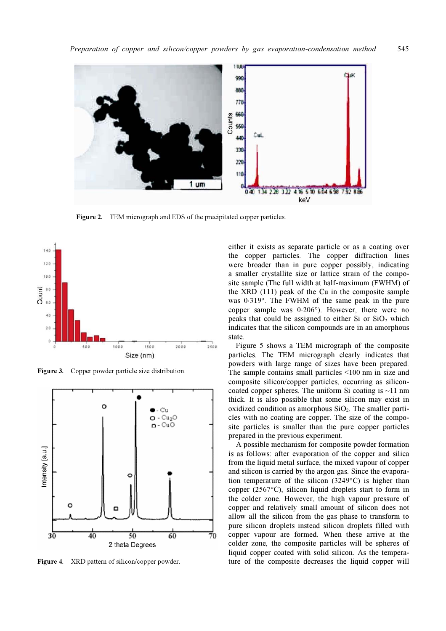

Figure 2. TEM micrograph and EDS of the precipitated copper particles.



Figure 3. Copper powder particle size distribution.



Figure 4. XRD pattern of silicon/copper powder.

either it exists as separate particle or as a coating over the copper particles. The copper diffraction lines were broader than in pure copper possibly, indicating a smaller crystallite size or lattice strain of the composite sample (The full width at half-maximum (FWHM) of the XRD (111) peak of the Cu in the composite sample was 0⋅319°. The FWHM of the same peak in the pure copper sample was 0⋅206°). However, there were no peaks that could be assigned to either Si or  $SiO<sub>2</sub>$  which indicates that the silicon compounds are in an amorphous state.

 Figure 5 shows a TEM micrograph of the composite particles. The TEM micrograph clearly indicates that powders with large range of sizes have been prepared. The sample contains small particles <100 nm in size and composite silicon/copper particles, occurring as siliconcoated copper spheres. The uniform Si coating is  $\sim$ 11 nm thick. It is also possible that some silicon may exist in oxidized condition as amorphous  $SiO<sub>2</sub>$ . The smaller particles with no coating are copper. The size of the composite particles is smaller than the pure copper particles prepared in the previous experiment.

 A possible mechanism for composite powder formation is as follows: after evaporation of the copper and silica from the liquid metal surface, the mixed vapour of copper and silicon is carried by the argon gas. Since the evaporation temperature of the silicon (3249°C) is higher than copper (2567°C), silicon liquid droplets start to form in the colder zone. However, the high vapour pressure of copper and relatively small amount of silicon does not allow all the silicon from the gas phase to transform to pure silicon droplets instead silicon droplets filled with copper vapour are formed. When these arrive at the colder zone, the composite particles will be spheres of liquid copper coated with solid silicon. As the temperature of the composite decreases the liquid copper will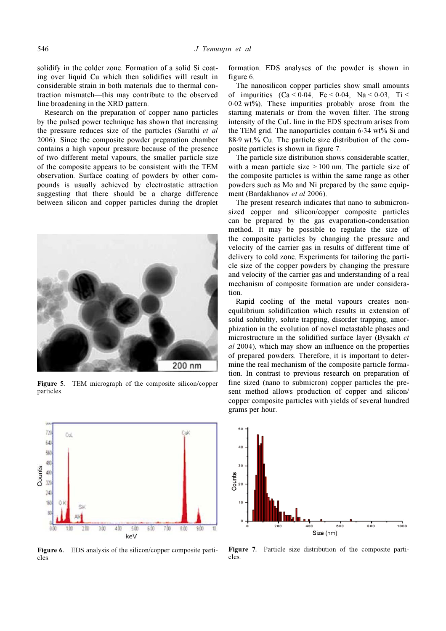solidify in the colder zone. Formation of a solid Si coating over liquid Cu which then solidifies will result in considerable strain in both materials due to thermal contraction mismatch—this may contribute to the observed line broadening in the XRD pattern.

 Research on the preparation of copper nano particles by the pulsed power technique has shown that increasing the pressure reduces size of the particles (Sarathi et al 2006). Since the composite powder preparation chamber contains a high vapour pressure because of the presence of two different metal vapours, the smaller particle size of the composite appears to be consistent with the TEM observation. Surface coating of powders by other compounds is usually achieved by electrostatic attraction suggesting that there should be a charge difference between silicon and copper particles during the droplet



Figure 5. TEM micrograph of the composite silicon/copper particles.



Figure 6. EDS analysis of the silicon/copper composite particles.

formation. EDS analyses of the powder is shown in figure 6.

 The nanosilicon copper particles show small amounts of impurities  $(Ca < 0.04, Fe < 0.04, Na < 0.03, Ti <$  $0.02 \text{ wt\%}$ ). These impurities probably arose from the starting materials or from the woven filter. The strong intensity of the CuL line in the EDS spectrum arises from the TEM grid. The nanoparticles contain 6⋅34 wt% Si and 88.9 wt.% Cu. The particle size distribution of the composite particles is shown in figure 7.

 The particle size distribution shows considerable scatter, with a mean particle size  $> 100$  nm. The particle size of the composite particles is within the same range as other powders such as Mo and Ni prepared by the same equipment (Bardakhanov et al 2006).

 The present research indicates that nano to submicronsized copper and silicon/copper composite particles can be prepared by the gas evaporation-condensation method. It may be possible to regulate the size of the composite particles by changing the pressure and velocity of the carrier gas in results of different time of delivery to cold zone. Experiments for tailoring the particle size of the copper powders by changing the pressure and velocity of the carrier gas and understanding of a real mechanism of composite formation are under consideration.

 Rapid cooling of the metal vapours creates nonequilibrium solidification which results in extension of solid solubility, solute trapping, disorder trapping, amorphization in the evolution of novel metastable phases and microstructure in the solidified surface layer (Bysakh et al 2004), which may show an influence on the properties of prepared powders. Therefore, it is important to determine the real mechanism of the composite particle formation. In contrast to previous research on preparation of fine sized (nano to submicron) copper particles the present method allows production of copper and silicon/ copper composite particles with yields of several hundred grams per hour.



Figure 7. Particle size distribution of the composite particles.